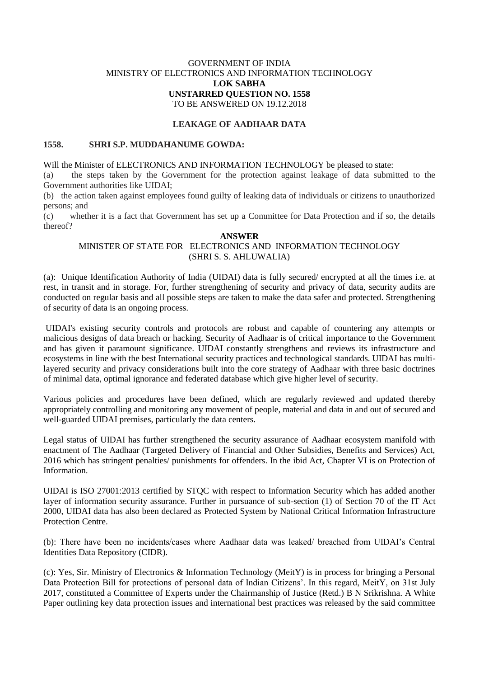### GOVERNMENT OF INDIA MINISTRY OF ELECTRONICS AND INFORMATION TECHNOLOGY **LOK SABHA UNSTARRED QUESTION NO. 1558** TO BE ANSWERED ON 19.12.2018

#### **LEAKAGE OF AADHAAR DATA**

#### **1558. SHRI S.P. MUDDAHANUME GOWDA:**

Will the Minister of ELECTRONICS AND INFORMATION TECHNOLOGY be pleased to state:

(a) the steps taken by the Government for the protection against leakage of data submitted to the Government authorities like UIDAI;

(b) the action taken against employees found guilty of leaking data of individuals or citizens to unauthorized persons; and

(c) whether it is a fact that Government has set up a Committee for Data Protection and if so, the details thereof?

## **ANSWER**

# MINISTER OF STATE FOR ELECTRONICS AND INFORMATION TECHNOLOGY (SHRI S. S. AHLUWALIA)

(a):Unique Identification Authority of India (UIDAI) data is fully secured/ encrypted at all the times i.e. at rest, in transit and in storage. For, further strengthening of security and privacy of data, security audits are conducted on regular basis and all possible steps are taken to make the data safer and protected. Strengthening of security of data is an ongoing process.

UIDAI's existing security controls and protocols are robust and capable of countering any attempts or malicious designs of data breach or hacking. Security of Aadhaar is of critical importance to the Government and has given it paramount significance. UIDAI constantly strengthens and reviews its infrastructure and ecosystems in line with the best International security practices and technological standards. UIDAI has multilayered security and privacy considerations built into the core strategy of Aadhaar with three basic doctrines of minimal data, optimal ignorance and federated database which give higher level of security.

Various policies and procedures have been defined, which are regularly reviewed and updated thereby appropriately controlling and monitoring any movement of people, material and data in and out of secured and well-guarded UIDAI premises, particularly the data centers.

Legal status of UIDAI has further strengthened the security assurance of Aadhaar ecosystem manifold with enactment of The Aadhaar (Targeted Delivery of Financial and Other Subsidies, Benefits and Services) Act, 2016 which has stringent penalties/ punishments for offenders. In the ibid Act, Chapter VI is on Protection of Information.

UIDAI is ISO 27001:2013 certified by STQC with respect to Information Security which has added another layer of information security assurance. Further in pursuance of sub-section (1) of Section 70 of the IT Act 2000, UIDAI data has also been declared as Protected System by National Critical Information Infrastructure Protection Centre.

(b): There have been no incidents/cases where Aadhaar data was leaked/ breached from UIDAI's Central Identities Data Repository (CIDR).

(c): Yes, Sir. Ministry of Electronics & Information Technology (MeitY) is in process for bringing a Personal Data Protection Bill for protections of personal data of Indian Citizens'. In this regard, MeitY, on 31st July 2017, constituted a Committee of Experts under the Chairmanship of Justice (Retd.) B N Srikrishna. A White Paper outlining key data protection issues and international best practices was released by the said committee